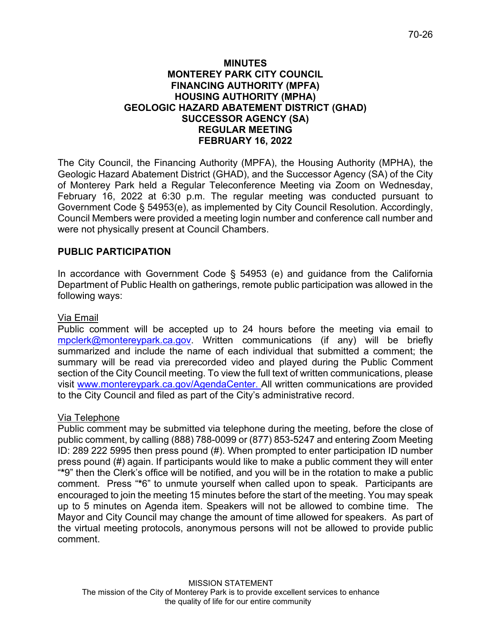## **MINUTES MONTEREY PARK CITY COUNCIL FINANCING AUTHORITY (MPFA) HOUSING AUTHORITY (MPHA) GEOLOGIC HAZARD ABATEMENT DISTRICT (GHAD) SUCCESSOR AGENCY (SA) REGULAR MEETING FEBRUARY 16, 2022**

The City Council, the Financing Authority (MPFA), the Housing Authority (MPHA), the Geologic Hazard Abatement District (GHAD), and the Successor Agency (SA) of the City of Monterey Park held a Regular Teleconference Meeting via Zoom on Wednesday, February 16, 2022 at 6:30 p.m. The regular meeting was conducted pursuant to Government Code § 54953(e), as implemented by City Council Resolution. Accordingly, Council Members were provided a meeting login number and conference call number and were not physically present at Council Chambers.

# **PUBLIC PARTICIPATION**

In accordance with Government Code § 54953 (e) and guidance from the California Department of Public Health on gatherings, remote public participation was allowed in the following ways:

## Via Email

Public comment will be accepted up to 24 hours before the meeting via email to [mpclerk@montereypark.ca.gov.](mailto:mpclerk@montereypark.ca.gov) Written communications (if any) will be briefly summarized and include the name of each individual that submitted a comment; the summary will be read via prerecorded video and played during the Public Comment section of the City Council meeting. To view the full text of written communications, please visit [www.montereypark.ca.gov/AgendaCenter.](http://www.montereypark.ca.gov/AgendaCenter) All written communications are provided to the City Council and filed as part of the City's administrative record.

## Via Telephone

Public comment may be submitted via telephone during the meeting, before the close of public comment, by calling (888) 788-0099 or (877) 853-5247 and entering Zoom Meeting ID: 289 222 5995 then press pound (#). When prompted to enter participation ID number press pound (#) again. If participants would like to make a public comment they will enter "**\***9" then the Clerk's office will be notified, and you will be in the rotation to make a public comment. Press "**\***6" to unmute yourself when called upon to speak. Participants are encouraged to join the meeting 15 minutes before the start of the meeting. You may speak up to 5 minutes on Agenda item. Speakers will not be allowed to combine time. The Mayor and City Council may change the amount of time allowed for speakers. As part of the virtual meeting protocols, anonymous persons will not be allowed to provide public comment.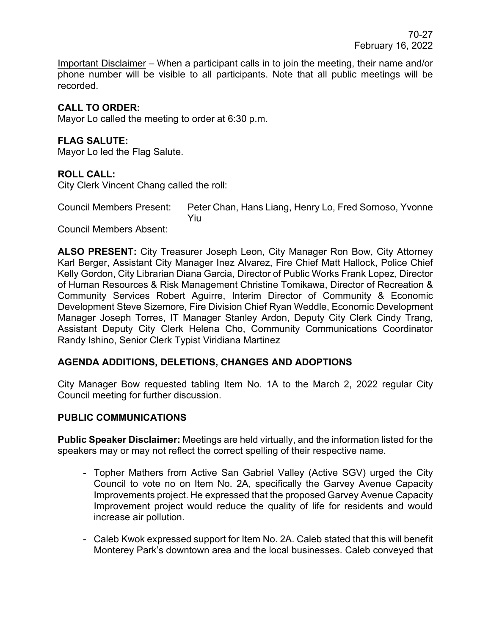Important Disclaimer – When a participant calls in to join the meeting, their name and/or phone number will be visible to all participants. Note that all public meetings will be recorded.

# **CALL TO ORDER:**

Mayor Lo called the meeting to order at 6:30 p.m.

# **FLAG SALUTE:**

Mayor Lo led the Flag Salute.

## **ROLL CALL:**

City Clerk Vincent Chang called the roll:

Council Members Present: Peter Chan, Hans Liang, Henry Lo, Fred Sornoso, Yvonne Yiu

Council Members Absent:

**ALSO PRESENT:** City Treasurer Joseph Leon, City Manager Ron Bow, City Attorney Karl Berger, Assistant City Manager Inez Alvarez, Fire Chief Matt Hallock, Police Chief Kelly Gordon, City Librarian Diana Garcia, Director of Public Works Frank Lopez, Director of Human Resources & Risk Management Christine Tomikawa, Director of Recreation & Community Services Robert Aguirre, Interim Director of Community & Economic Development Steve Sizemore, Fire Division Chief Ryan Weddle, Economic Development Manager Joseph Torres, IT Manager Stanley Ardon, Deputy City Clerk Cindy Trang, Assistant Deputy City Clerk Helena Cho, Community Communications Coordinator Randy Ishino, Senior Clerk Typist Viridiana Martinez

## **AGENDA ADDITIONS, DELETIONS, CHANGES AND ADOPTIONS**

City Manager Bow requested tabling Item No. 1A to the March 2, 2022 regular City Council meeting for further discussion.

## **PUBLIC COMMUNICATIONS**

**Public Speaker Disclaimer:** Meetings are held virtually, and the information listed for the speakers may or may not reflect the correct spelling of their respective name.

- Topher Mathers from Active San Gabriel Valley (Active SGV) urged the City Council to vote no on Item No. 2A, specifically the Garvey Avenue Capacity Improvements project. He expressed that the proposed Garvey Avenue Capacity Improvement project would reduce the quality of life for residents and would increase air pollution.
- Caleb Kwok expressed support for Item No. 2A. Caleb stated that this will benefit Monterey Park's downtown area and the local businesses. Caleb conveyed that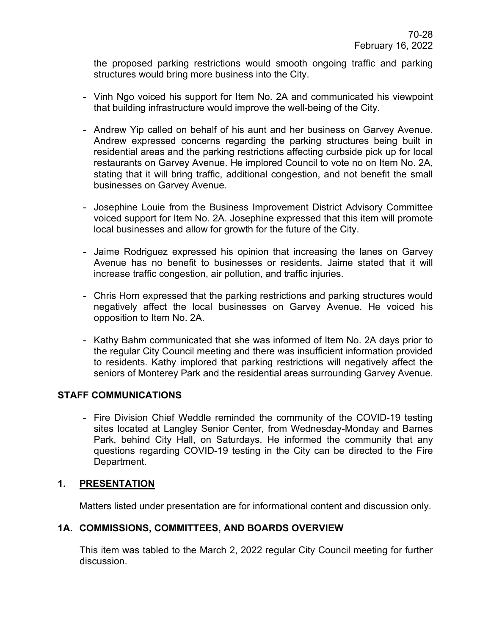the proposed parking restrictions would smooth ongoing traffic and parking structures would bring more business into the City.

- Vinh Ngo voiced his support for Item No. 2A and communicated his viewpoint that building infrastructure would improve the well-being of the City.
- Andrew Yip called on behalf of his aunt and her business on Garvey Avenue. Andrew expressed concerns regarding the parking structures being built in residential areas and the parking restrictions affecting curbside pick up for local restaurants on Garvey Avenue. He implored Council to vote no on Item No. 2A, stating that it will bring traffic, additional congestion, and not benefit the small businesses on Garvey Avenue.
- Josephine Louie from the Business Improvement District Advisory Committee voiced support for Item No. 2A. Josephine expressed that this item will promote local businesses and allow for growth for the future of the City.
- Jaime Rodriguez expressed his opinion that increasing the lanes on Garvey Avenue has no benefit to businesses or residents. Jaime stated that it will increase traffic congestion, air pollution, and traffic injuries.
- Chris Horn expressed that the parking restrictions and parking structures would negatively affect the local businesses on Garvey Avenue. He voiced his opposition to Item No. 2A.
- Kathy Bahm communicated that she was informed of Item No. 2A days prior to the regular City Council meeting and there was insufficient information provided to residents. Kathy implored that parking restrictions will negatively affect the seniors of Monterey Park and the residential areas surrounding Garvey Avenue.

## **STAFF COMMUNICATIONS**

- Fire Division Chief Weddle reminded the community of the COVID-19 testing sites located at Langley Senior Center, from Wednesday-Monday and Barnes Park, behind City Hall, on Saturdays. He informed the community that any questions regarding COVID-19 testing in the City can be directed to the Fire Department.

## **1. PRESENTATION**

Matters listed under presentation are for informational content and discussion only.

# **1A. COMMISSIONS, COMMITTEES, AND BOARDS OVERVIEW**

This item was tabled to the March 2, 2022 regular City Council meeting for further discussion.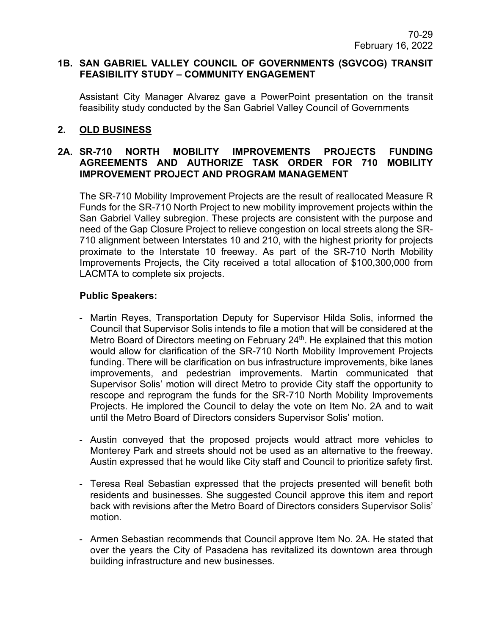#### **1B. SAN GABRIEL VALLEY COUNCIL OF GOVERNMENTS (SGVCOG) TRANSIT FEASIBILITY STUDY – COMMUNITY ENGAGEMENT**

Assistant City Manager Alvarez gave a PowerPoint presentation on the transit feasibility study conducted by the San Gabriel Valley Council of Governments

## **2. OLD BUSINESS**

## **2A. SR-710 NORTH MOBILITY IMPROVEMENTS PROJECTS FUNDING AGREEMENTS AND AUTHORIZE TASK ORDER FOR 710 MOBILITY IMPROVEMENT PROJECT AND PROGRAM MANAGEMENT**

The SR-710 Mobility Improvement Projects are the result of reallocated Measure R Funds for the SR-710 North Project to new mobility improvement projects within the San Gabriel Valley subregion. These projects are consistent with the purpose and need of the Gap Closure Project to relieve congestion on local streets along the SR-710 alignment between Interstates 10 and 210, with the highest priority for projects proximate to the Interstate 10 freeway. As part of the SR-710 North Mobility Improvements Projects, the City received a total allocation of \$100,300,000 from LACMTA to complete six projects.

## **Public Speakers:**

- Martin Reyes, Transportation Deputy for Supervisor Hilda Solis, informed the Council that Supervisor Solis intends to file a motion that will be considered at the Metro Board of Directors meeting on February 24<sup>th</sup>. He explained that this motion would allow for clarification of the SR-710 North Mobility Improvement Projects funding. There will be clarification on bus infrastructure improvements, bike lanes improvements, and pedestrian improvements. Martin communicated that Supervisor Solis' motion will direct Metro to provide City staff the opportunity to rescope and reprogram the funds for the SR-710 North Mobility Improvements Projects. He implored the Council to delay the vote on Item No. 2A and to wait until the Metro Board of Directors considers Supervisor Solis' motion.
- Austin conveyed that the proposed projects would attract more vehicles to Monterey Park and streets should not be used as an alternative to the freeway. Austin expressed that he would like City staff and Council to prioritize safety first.
- Teresa Real Sebastian expressed that the projects presented will benefit both residents and businesses. She suggested Council approve this item and report back with revisions after the Metro Board of Directors considers Supervisor Solis' motion.
- Armen Sebastian recommends that Council approve Item No. 2A. He stated that over the years the City of Pasadena has revitalized its downtown area through building infrastructure and new businesses.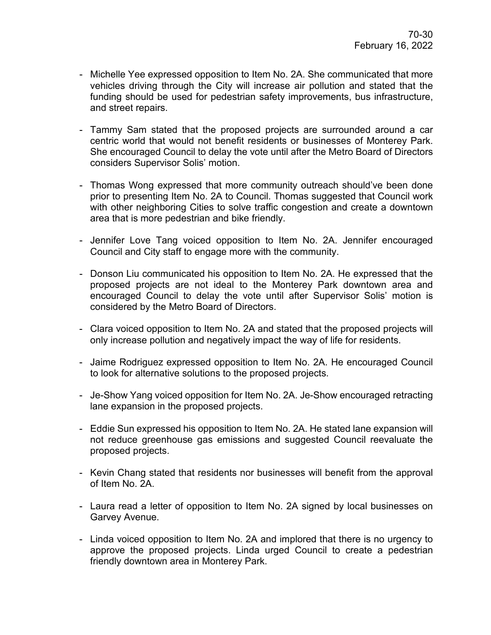- Michelle Yee expressed opposition to Item No. 2A. She communicated that more vehicles driving through the City will increase air pollution and stated that the funding should be used for pedestrian safety improvements, bus infrastructure, and street repairs.
- Tammy Sam stated that the proposed projects are surrounded around a car centric world that would not benefit residents or businesses of Monterey Park. She encouraged Council to delay the vote until after the Metro Board of Directors considers Supervisor Solis' motion.
- Thomas Wong expressed that more community outreach should've been done prior to presenting Item No. 2A to Council. Thomas suggested that Council work with other neighboring Cities to solve traffic congestion and create a downtown area that is more pedestrian and bike friendly.
- Jennifer Love Tang voiced opposition to Item No. 2A. Jennifer encouraged Council and City staff to engage more with the community.
- Donson Liu communicated his opposition to Item No. 2A. He expressed that the proposed projects are not ideal to the Monterey Park downtown area and encouraged Council to delay the vote until after Supervisor Solis' motion is considered by the Metro Board of Directors.
- Clara voiced opposition to Item No. 2A and stated that the proposed projects will only increase pollution and negatively impact the way of life for residents.
- Jaime Rodriguez expressed opposition to Item No. 2A. He encouraged Council to look for alternative solutions to the proposed projects.
- Je-Show Yang voiced opposition for Item No. 2A. Je-Show encouraged retracting lane expansion in the proposed projects.
- Eddie Sun expressed his opposition to Item No. 2A. He stated lane expansion will not reduce greenhouse gas emissions and suggested Council reevaluate the proposed projects.
- Kevin Chang stated that residents nor businesses will benefit from the approval of Item No. 2A.
- Laura read a letter of opposition to Item No. 2A signed by local businesses on Garvey Avenue.
- Linda voiced opposition to Item No. 2A and implored that there is no urgency to approve the proposed projects. Linda urged Council to create a pedestrian friendly downtown area in Monterey Park.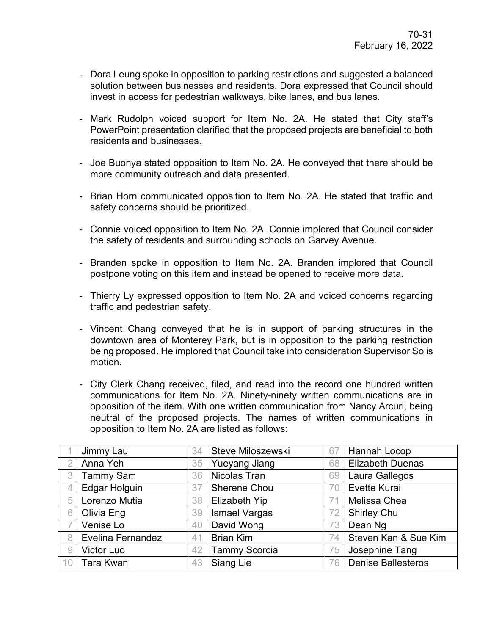- Dora Leung spoke in opposition to parking restrictions and suggested a balanced solution between businesses and residents. Dora expressed that Council should invest in access for pedestrian walkways, bike lanes, and bus lanes.
- Mark Rudolph voiced support for Item No. 2A. He stated that City staff's PowerPoint presentation clarified that the proposed projects are beneficial to both residents and businesses.
- Joe Buonya stated opposition to Item No. 2A. He conveyed that there should be more community outreach and data presented.
- Brian Horn communicated opposition to Item No. 2A. He stated that traffic and safety concerns should be prioritized.
- Connie voiced opposition to Item No. 2A. Connie implored that Council consider the safety of residents and surrounding schools on Garvey Avenue.
- Branden spoke in opposition to Item No. 2A. Branden implored that Council postpone voting on this item and instead be opened to receive more data.
- Thierry Ly expressed opposition to Item No. 2A and voiced concerns regarding traffic and pedestrian safety.
- Vincent Chang conveyed that he is in support of parking structures in the downtown area of Monterey Park, but is in opposition to the parking restriction being proposed. He implored that Council take into consideration Supervisor Solis motion.
- City Clerk Chang received, filed, and read into the record one hundred written communications for Item No. 2A. Ninety-ninety written communications are in opposition of the item. With one written communication from Nancy Arcuri, being neutral of the proposed projects. The names of written communications in opposition to Item No. 2A are listed as follows:

|    | Jimmy Lau                | 34 | Steve Miloszewski    | 67 | Hannah Locop              |
|----|--------------------------|----|----------------------|----|---------------------------|
|    |                          |    |                      |    |                           |
|    | Anna Yeh                 | 35 | <b>Yueyang Jiang</b> | 68 | <b>Elizabeth Duenas</b>   |
| 3  | <b>Tammy Sam</b>         | 36 | Nicolas Tran         | 69 | Laura Gallegos            |
| 4  | <b>Edgar Holguin</b>     | 37 | <b>Sherene Chou</b>  | 70 | Evette Kurai              |
| 5  | Lorenzo Mutia            | 38 | <b>Elizabeth Yip</b> | 71 | Melissa Chea              |
| 6  | Olivia Eng               | 39 | <b>Ismael Vargas</b> | 72 | <b>Shirley Chu</b>        |
|    | Venise Lo                | 40 | David Wong           | 73 | Dean Ng                   |
| 8  | <b>Evelina Fernandez</b> | 41 | <b>Brian Kim</b>     | 74 | Steven Kan & Sue Kim      |
| 9  | Victor Luo               | 42 | <b>Tammy Scorcia</b> | 75 | Josephine Tang            |
| 10 | Tara Kwan                | 43 | Siang Lie            | 76 | <b>Denise Ballesteros</b> |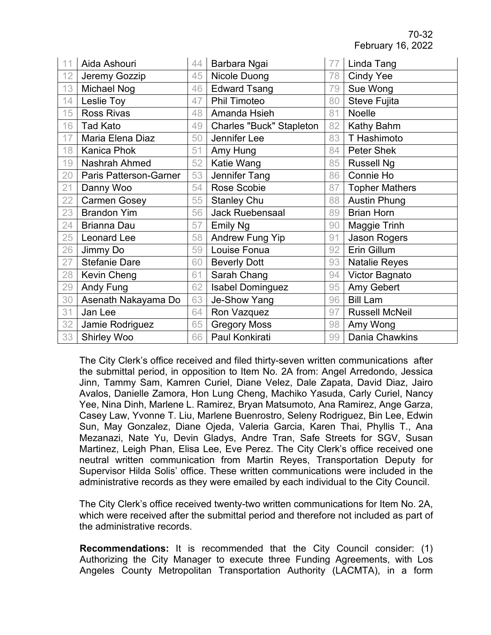| 11 | Aida Ashouri           | 44 | Barbara Ngai                    | 77 | Linda Tang            |
|----|------------------------|----|---------------------------------|----|-----------------------|
| 12 | Jeremy Gozzip          | 45 | Nicole Duong                    | 78 | <b>Cindy Yee</b>      |
| 13 | Michael Nog            | 46 | <b>Edward Tsang</b>             | 79 | Sue Wong              |
| 14 | Leslie Toy             | 47 | <b>Phil Timoteo</b>             | 80 | <b>Steve Fujita</b>   |
| 15 | <b>Ross Rivas</b>      | 48 | Amanda Hsieh                    | 81 | Noelle                |
| 16 | <b>Tad Kato</b>        | 49 | <b>Charles "Buck" Stapleton</b> | 82 | Kathy Bahm            |
| 17 | Maria Elena Diaz       | 50 | Jennifer Lee                    | 83 | T Hashimoto           |
| 18 | <b>Kanica Phok</b>     | 51 | Amy Hung                        | 84 | <b>Peter Shek</b>     |
| 19 | Nashrah Ahmed          | 52 | Katie Wang                      | 85 | <b>Russell Ng</b>     |
| 20 | Paris Patterson-Garner | 53 | Jennifer Tang                   | 86 | Connie Ho             |
| 21 | Danny Woo              | 54 | Rose Scobie                     | 87 | <b>Topher Mathers</b> |
| 22 | <b>Carmen Gosey</b>    | 55 | <b>Stanley Chu</b>              | 88 | <b>Austin Phung</b>   |
| 23 | <b>Brandon Yim</b>     | 56 | <b>Jack Ruebensaal</b>          | 89 | <b>Brian Horn</b>     |
| 24 | <b>Brianna Dau</b>     | 57 | <b>Emily Ng</b>                 | 90 | Maggie Trinh          |
| 25 | <b>Leonard Lee</b>     | 58 | <b>Andrew Fung Yip</b>          | 91 | Jason Rogers          |
| 26 | Jimmy Do               | 59 | Louise Fonua                    | 92 | Erin Gillum           |
| 27 | <b>Stefanie Dare</b>   | 60 | <b>Beverly Dott</b>             | 93 | <b>Natalie Reyes</b>  |
| 28 | Kevin Cheng            | 61 | Sarah Chang                     | 94 | Victor Bagnato        |
| 29 | Andy Fung              | 62 | <b>Isabel Dominguez</b>         | 95 | Amy Gebert            |
| 30 | Asenath Nakayama Do    | 63 | Je-Show Yang                    | 96 | <b>Bill Lam</b>       |
| 31 | Jan Lee                | 64 | Ron Vazquez                     | 97 | <b>Russell McNeil</b> |
| 32 | Jamie Rodriguez        | 65 | <b>Gregory Moss</b>             | 98 | Amy Wong              |
| 33 | <b>Shirley Woo</b>     | 66 | Paul Konkirati                  | 99 | Dania Chawkins        |

The City Clerk's office received and filed thirty-seven written communications after the submittal period, in opposition to Item No. 2A from: Angel Arredondo, Jessica Jinn, Tammy Sam, Kamren Curiel, Diane Velez, Dale Zapata, David Diaz, Jairo Avalos, Danielle Zamora, Hon Lung Cheng, Machiko Yasuda, Carly Curiel, Nancy Yee, Nina Dinh, Marlene L. Ramirez, Bryan Matsumoto, Ana Ramirez, Ange Garza, Casey Law, Yvonne T. Liu, Marlene Buenrostro, Seleny Rodriguez, Bin Lee, Edwin Sun, May Gonzalez, Diane Ojeda, Valeria Garcia, Karen Thai, Phyllis T., Ana Mezanazi, Nate Yu, Devin Gladys, Andre Tran, Safe Streets for SGV, Susan Martinez, Leigh Phan, Elisa Lee, Eve Perez. The City Clerk's office received one neutral written communication from Martin Reyes, Transportation Deputy for Supervisor Hilda Solis' office. These written communications were included in the administrative records as they were emailed by each individual to the City Council.

The City Clerk's office received twenty-two written communications for Item No. 2A, which were received after the submittal period and therefore not included as part of the administrative records.

**Recommendations:** It is recommended that the City Council consider: (1) Authorizing the City Manager to execute three Funding Agreements, with Los Angeles County Metropolitan Transportation Authority (LACMTA), in a form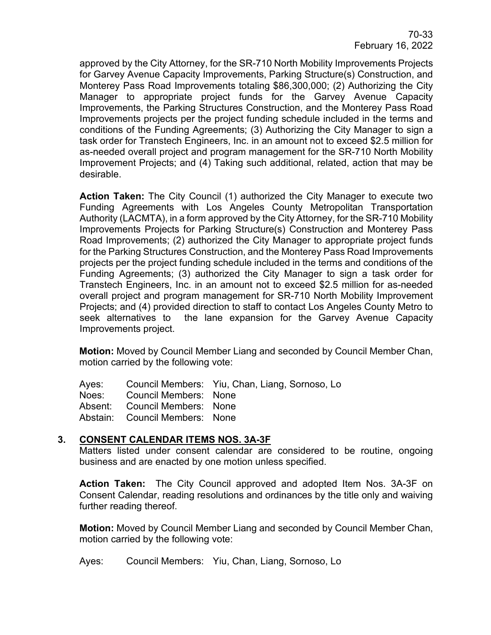approved by the City Attorney, for the SR-710 North Mobility Improvements Projects for Garvey Avenue Capacity Improvements, Parking Structure(s) Construction, and Monterey Pass Road Improvements totaling \$86,300,000; (2) Authorizing the City Manager to appropriate project funds for the Garvey Avenue Capacity Improvements, the Parking Structures Construction, and the Monterey Pass Road Improvements projects per the project funding schedule included in the terms and conditions of the Funding Agreements; (3) Authorizing the City Manager to sign a task order for Transtech Engineers, Inc. in an amount not to exceed \$2.5 million for as-needed overall project and program management for the SR-710 North Mobility Improvement Projects; and (4) Taking such additional, related, action that may be desirable.

**Action Taken:** The City Council (1) authorized the City Manager to execute two Funding Agreements with Los Angeles County Metropolitan Transportation Authority (LACMTA), in a form approved by the City Attorney, for the SR-710 Mobility Improvements Projects for Parking Structure(s) Construction and Monterey Pass Road Improvements; (2) authorized the City Manager to appropriate project funds for the Parking Structures Construction, and the Monterey Pass Road Improvements projects per the project funding schedule included in the terms and conditions of the Funding Agreements; (3) authorized the City Manager to sign a task order for Transtech Engineers, Inc. in an amount not to exceed \$2.5 million for as-needed overall project and program management for SR-710 North Mobility Improvement Projects; and (4) provided direction to staff to contact Los Angeles County Metro to seek alternatives to the lane expansion for the Garvey Avenue Capacity Improvements project.

**Motion:** Moved by Council Member Liang and seconded by Council Member Chan, motion carried by the following vote:

Ayes: Council Members: Yiu, Chan, Liang, Sornoso, Lo Noes: Council Members: None Absent: Council Members: None Abstain: Council Members: None

## **3. CONSENT CALENDAR ITEMS NOS. 3A-3F**

Matters listed under consent calendar are considered to be routine, ongoing business and are enacted by one motion unless specified.

**Action Taken:** The City Council approved and adopted Item Nos. 3A-3F on Consent Calendar, reading resolutions and ordinances by the title only and waiving further reading thereof.

**Motion:** Moved by Council Member Liang and seconded by Council Member Chan, motion carried by the following vote:

Ayes: Council Members: Yiu, Chan, Liang, Sornoso, Lo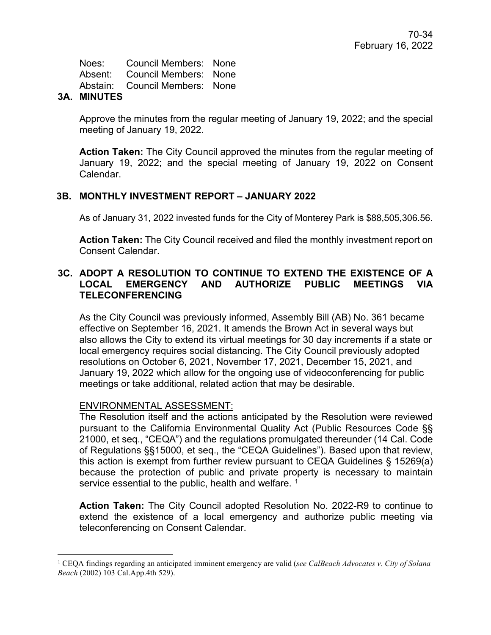Noes: Council Members: None Absent: Council Members: None Abstain: Council Members: None

## **3A. MINUTES**

Approve the minutes from the regular meeting of January 19, 2022; and the special meeting of January 19, 2022.

**Action Taken:** The City Council approved the minutes from the regular meeting of January 19, 2022; and the special meeting of January 19, 2022 on Consent Calendar.

# **3B. MONTHLY INVESTMENT REPORT – JANUARY 2022**

As of January 31, 2022 invested funds for the City of Monterey Park is \$88,505,306.56.

**Action Taken:** The City Council received and filed the monthly investment report on Consent Calendar.

## **3C. ADOPT A RESOLUTION TO CONTINUE TO EXTEND THE EXISTENCE OF A LOCAL EMERGENCY AND AUTHORIZE PUBLIC MEETINGS VIA TELECONFERENCING**

As the City Council was previously informed, Assembly Bill (AB) No. 361 became effective on September 16, 2021. It amends the Brown Act in several ways but also allows the City to extend its virtual meetings for 30 day increments if a state or local emergency requires social distancing. The City Council previously adopted resolutions on October 6, 2021, November 17, 2021, December 15, 2021, and January 19, 2022 which allow for the ongoing use of videoconferencing for public meetings or take additional, related action that may be desirable.

## ENVIRONMENTAL ASSESSMENT:

The Resolution itself and the actions anticipated by the Resolution were reviewed pursuant to the California Environmental Quality Act (Public Resources Code §§ 21000, et seq., "CEQA") and the regulations promulgated thereunder (14 Cal. Code of Regulations §§15000, et seq., the "CEQA Guidelines"). Based upon that review, this action is exempt from further review pursuant to CEQA Guidelines § 15269(a) because the protection of public and private property is necessary to maintain service essential to the public, health and welfare.  $1$ 

**Action Taken:** The City Council adopted Resolution No. 2022-R9 to continue to extend the existence of a local emergency and authorize public meeting via teleconferencing on Consent Calendar.

<span id="page-8-0"></span><sup>1</sup> CEQA findings regarding an anticipated imminent emergency are valid (*see CalBeach Advocates v. City of Solana Beach* (2002) 103 Cal.App.4th 529).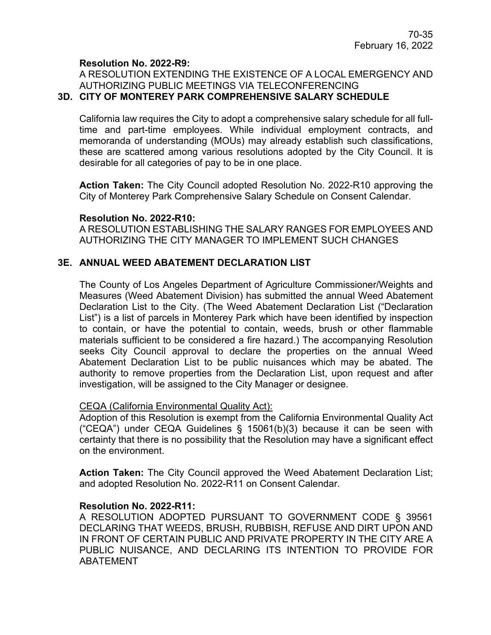#### **Resolution No. 2022-R9:**

#### A RESOLUTION EXTENDING THE EXISTENCE OF A LOCAL EMERGENCY AND AUTHORIZING PUBLIC MEETINGS VIA TELECONFERENCING **3D. CITY OF MONTEREY PARK COMPREHENSIVE SALARY SCHEDULE**

California law requires the City to adopt a comprehensive salary schedule for all fulltime and part-time employees. While individual employment contracts, and memoranda of understanding (MOUs) may already establish such classifications, these are scattered among various resolutions adopted by the City Council. It is desirable for all categories of pay to be in one place.

**Action Taken:** The City Council adopted Resolution No. 2022-R10 approving the City of Monterey Park Comprehensive Salary Schedule on Consent Calendar.

#### **Resolution No. 2022-R10:**

A RESOLUTION ESTABLISHING THE SALARY RANGES FOR EMPLOYEES AND AUTHORIZING THE CITY MANAGER TO IMPLEMENT SUCH CHANGES

#### **3E. ANNUAL WEED ABATEMENT DECLARATION LIST**

The County of Los Angeles Department of Agriculture Commissioner/Weights and Measures (Weed Abatement Division) has submitted the annual Weed Abatement Declaration List to the City. (The Weed Abatement Declaration List ("Declaration List") is a list of parcels in Monterey Park which have been identified by inspection to contain, or have the potential to contain, weeds, brush or other flammable materials sufficient to be considered a fire hazard.) The accompanying Resolution seeks City Council approval to declare the properties on the annual Weed Abatement Declaration List to be public nuisances which may be abated. The authority to remove properties from the Declaration List, upon request and after investigation, will be assigned to the City Manager or designee.

#### CEQA (California Environmental Quality Act):

Adoption of this Resolution is exempt from the California Environmental Quality Act ("CEQA") under CEQA Guidelines § 15061(b)(3) because it can be seen with certainty that there is no possibility that the Resolution may have a significant effect on the environment.

**Action Taken:** The City Council approved the Weed Abatement Declaration List; and adopted Resolution No. 2022-R11 on Consent Calendar.

#### **Resolution No. 2022-R11:**

A RESOLUTION ADOPTED PURSUANT TO GOVERNMENT CODE § 39561 DECLARING THAT WEEDS, BRUSH, RUBBISH, REFUSE AND DIRT UPON AND IN FRONT OF CERTAIN PUBLIC AND PRIVATE PROPERTY IN THE CITY ARE A PUBLIC NUISANCE, AND DECLARING ITS INTENTION TO PROVIDE FOR ABATEMENT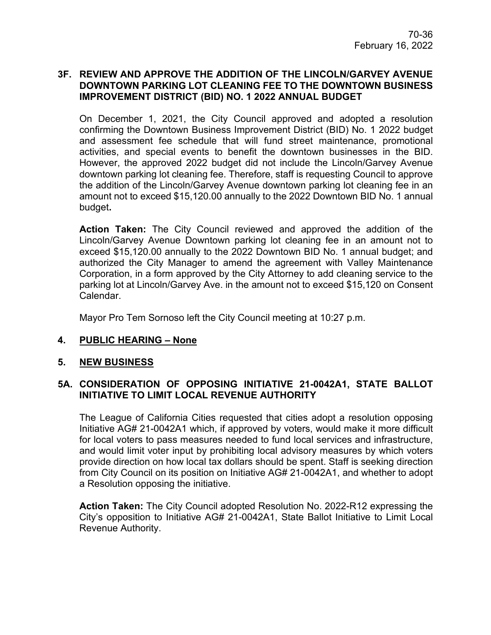## **3F. REVIEW AND APPROVE THE ADDITION OF THE LINCOLN/GARVEY AVENUE DOWNTOWN PARKING LOT CLEANING FEE TO THE DOWNTOWN BUSINESS IMPROVEMENT DISTRICT (BID) NO. 1 2022 ANNUAL BUDGET**

On December 1, 2021, the City Council approved and adopted a resolution confirming the Downtown Business Improvement District (BID) No. 1 2022 budget and assessment fee schedule that will fund street maintenance, promotional activities, and special events to benefit the downtown businesses in the BID. However, the approved 2022 budget did not include the Lincoln/Garvey Avenue downtown parking lot cleaning fee. Therefore, staff is requesting Council to approve the addition of the Lincoln/Garvey Avenue downtown parking lot cleaning fee in an amount not to exceed \$15,120.00 annually to the 2022 Downtown BID No. 1 annual budget**.**

**Action Taken:** The City Council reviewed and approved the addition of the Lincoln/Garvey Avenue Downtown parking lot cleaning fee in an amount not to exceed \$15,120.00 annually to the 2022 Downtown BID No. 1 annual budget; and authorized the City Manager to amend the agreement with Valley Maintenance Corporation, in a form approved by the City Attorney to add cleaning service to the parking lot at Lincoln/Garvey Ave. in the amount not to exceed \$15,120 on Consent Calendar.

Mayor Pro Tem Sornoso left the City Council meeting at 10:27 p.m.

## **4. PUBLIC HEARING – None**

## **5. NEW BUSINESS**

## **5A. CONSIDERATION OF OPPOSING INITIATIVE 21-0042A1, STATE BALLOT INITIATIVE TO LIMIT LOCAL REVENUE AUTHORITY**

The League of California Cities requested that cities adopt a resolution opposing Initiative AG# 21-0042A1 which, if approved by voters, would make it more difficult for local voters to pass measures needed to fund local services and infrastructure, and would limit voter input by prohibiting local advisory measures by which voters provide direction on how local tax dollars should be spent. Staff is seeking direction from City Council on its position on Initiative AG# 21-0042A1, and whether to adopt a Resolution opposing the initiative.

**Action Taken:** The City Council adopted Resolution No. 2022-R12 expressing the City's opposition to Initiative AG# 21-0042A1, State Ballot Initiative to Limit Local Revenue Authority.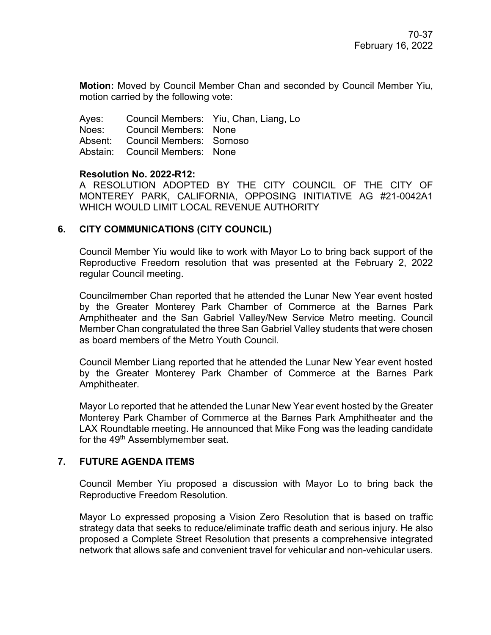**Motion:** Moved by Council Member Chan and seconded by Council Member Yiu, motion carried by the following vote:

Ayes: Council Members: Yiu, Chan, Liang, Lo Noes: Council Members: None Absent: Council Members: Sornoso Abstain: Council Members: None

#### **Resolution No. 2022-R12:**

A RESOLUTION ADOPTED BY THE CITY COUNCIL OF THE CITY OF MONTEREY PARK, CALIFORNIA, OPPOSING INITIATIVE AG #21-0042A1 WHICH WOULD LIMIT LOCAL REVENUE AUTHORITY

## **6. CITY COMMUNICATIONS (CITY COUNCIL)**

Council Member Yiu would like to work with Mayor Lo to bring back support of the Reproductive Freedom resolution that was presented at the February 2, 2022 regular Council meeting.

Councilmember Chan reported that he attended the Lunar New Year event hosted by the Greater Monterey Park Chamber of Commerce at the Barnes Park Amphitheater and the San Gabriel Valley/New Service Metro meeting. Council Member Chan congratulated the three San Gabriel Valley students that were chosen as board members of the Metro Youth Council.

Council Member Liang reported that he attended the Lunar New Year event hosted by the Greater Monterey Park Chamber of Commerce at the Barnes Park Amphitheater.

Mayor Lo reported that he attended the Lunar New Year event hosted by the Greater Monterey Park Chamber of Commerce at the Barnes Park Amphitheater and the LAX Roundtable meeting. He announced that Mike Fong was the leading candidate for the 49<sup>th</sup> Assemblymember seat.

## **7. FUTURE AGENDA ITEMS**

Council Member Yiu proposed a discussion with Mayor Lo to bring back the Reproductive Freedom Resolution.

Mayor Lo expressed proposing a Vision Zero Resolution that is based on traffic strategy data that seeks to reduce/eliminate traffic death and serious injury. He also proposed a Complete Street Resolution that presents a comprehensive integrated network that allows safe and convenient travel for vehicular and non-vehicular users.